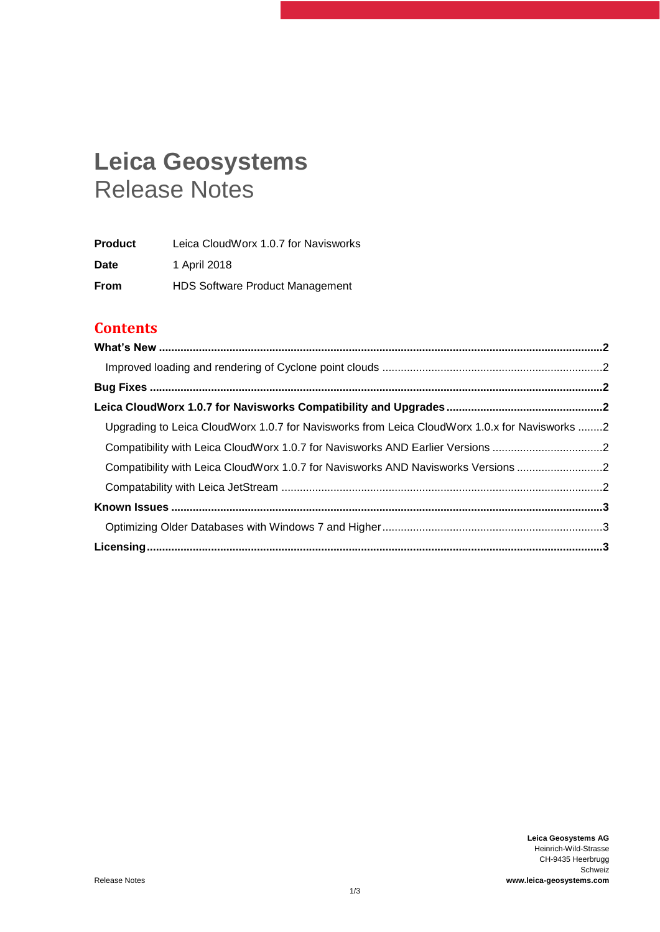# **Leica Geosystems** Release Notes

| <b>Product</b> | Leica CloudWorx 1.0.7 for Navisworks   |
|----------------|----------------------------------------|
| Date           | 1 April 2018                           |
| <b>From</b>    | <b>HDS Software Product Management</b> |

# **Contents**

| Upgrading to Leica CloudWorx 1.0.7 for Navisworks from Leica CloudWorx 1.0.x for Navisworks 2 |  |
|-----------------------------------------------------------------------------------------------|--|
| Compatibility with Leica CloudWorx 1.0.7 for Navisworks AND Earlier Versions 2                |  |
| Compatibility with Leica CloudWorx 1.0.7 for Navisworks AND Navisworks Versions 2             |  |
|                                                                                               |  |
|                                                                                               |  |
|                                                                                               |  |
|                                                                                               |  |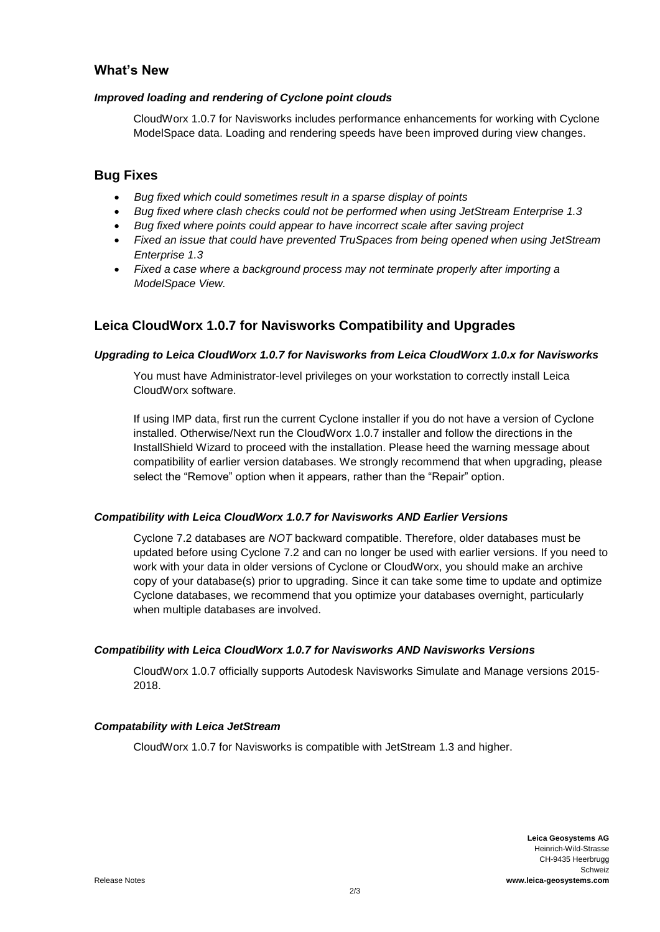### <span id="page-1-0"></span>**What's New**

#### <span id="page-1-1"></span>*Improved loading and rendering of Cyclone point clouds*

CloudWorx 1.0.7 for Navisworks includes performance enhancements for working with Cyclone ModelSpace data. Loading and rendering speeds have been improved during view changes.

# <span id="page-1-2"></span>**Bug Fixes**

- *Bug fixed which could sometimes result in a sparse display of points*
- *Bug fixed where clash checks could not be performed when using JetStream Enterprise 1.3*
- *Bug fixed where points could appear to have incorrect scale after saving project*
- *Fixed an issue that could have prevented TruSpaces from being opened when using JetStream Enterprise 1.3*
- *Fixed a case where a background process may not terminate properly after importing a ModelSpace View.*

# <span id="page-1-3"></span>**Leica CloudWorx 1.0.7 for Navisworks Compatibility and Upgrades**

#### <span id="page-1-4"></span>*Upgrading to Leica CloudWorx 1.0.7 for Navisworks from Leica CloudWorx 1.0.x for Navisworks*

You must have Administrator-level privileges on your workstation to correctly install Leica CloudWorx software.

If using IMP data, first run the current Cyclone installer if you do not have a version of Cyclone installed. Otherwise/Next run the CloudWorx 1.0.7 installer and follow the directions in the InstallShield Wizard to proceed with the installation. Please heed the warning message about compatibility of earlier version databases. We strongly recommend that when upgrading, please select the "Remove" option when it appears, rather than the "Repair" option.

#### <span id="page-1-5"></span>*Compatibility with Leica CloudWorx 1.0.7 for Navisworks AND Earlier Versions*

Cyclone 7.2 databases are *NOT* backward compatible. Therefore, older databases must be updated before using Cyclone 7.2 and can no longer be used with earlier versions. If you need to work with your data in older versions of Cyclone or CloudWorx, you should make an archive copy of your database(s) prior to upgrading. Since it can take some time to update and optimize Cyclone databases, we recommend that you optimize your databases overnight, particularly when multiple databases are involved.

#### <span id="page-1-6"></span>*Compatibility with Leica CloudWorx 1.0.7 for Navisworks AND Navisworks Versions*

CloudWorx 1.0.7 officially supports Autodesk Navisworks Simulate and Manage versions 2015- 2018.

#### <span id="page-1-7"></span>*Compatability with Leica JetStream*

CloudWorx 1.0.7 for Navisworks is compatible with JetStream 1.3 and higher.